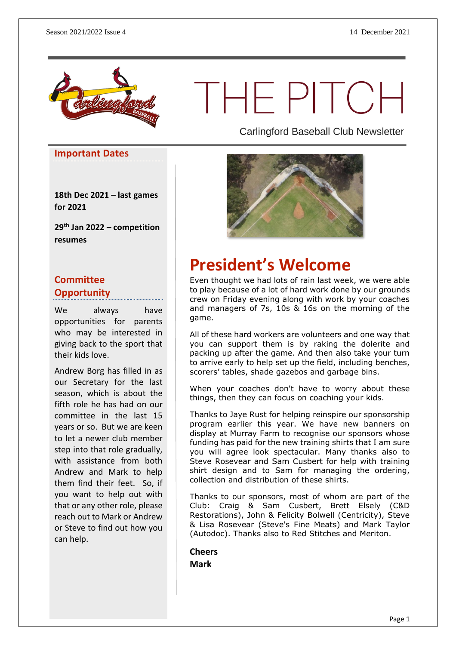

# THE PITCH

**Important Dates**

**18th Dec 2021 – last games for 2021**

**29th Jan 2022 – competition resumes**

### **Committee Opportunity**

We always have opportunities for parents who may be interested in giving back to the sport that their kids love.

Andrew Borg has filled in as our Secretary for the last season, which is about the fifth role he has had on our committee in the last 15 years or so. But we are keen to let a newer club member step into that role gradually, with assistance from both Andrew and Mark to help them find their feet. So, if you want to help out with that or any other role, please reach out to Mark or Andrew or Steve to find out how you can help.

Carlingford Baseball Club Newsletter



## **President's Welcome**

Even thought we had lots of rain last week, we were able to play because of a lot of hard work done by our grounds crew on Friday evening along with work by your coaches and managers of 7s, 10s & 16s on the morning of the game.

All of these hard workers are volunteers and one way that you can support them is by raking the dolerite and packing up after the game. And then also take your turn to arrive early to help set up the field, including benches, scorers' tables, shade gazebos and garbage bins.

When your coaches don't have to worry about these things, then they can focus on coaching your kids.

Thanks to Jaye Rust for helping reinspire our sponsorship program earlier this year. We have new banners on display at Murray Farm to recognise our sponsors whose funding has paid for the new training shirts that I am sure you will agree look spectacular. Many thanks also to Steve Rosevear and Sam Cusbert for help with training shirt design and to Sam for managing the ordering, collection and distribution of these shirts.

Thanks to our sponsors, most of whom are part of the Club: Craig & Sam Cusbert, Brett Elsely (C&D Restorations), John & Felicity Bolwell (Centricity), Steve & Lisa Rosevear (Steve's Fine Meats) and Mark Taylor (Autodoc). Thanks also to Red Stitches and Meriton.

**Cheers Mark**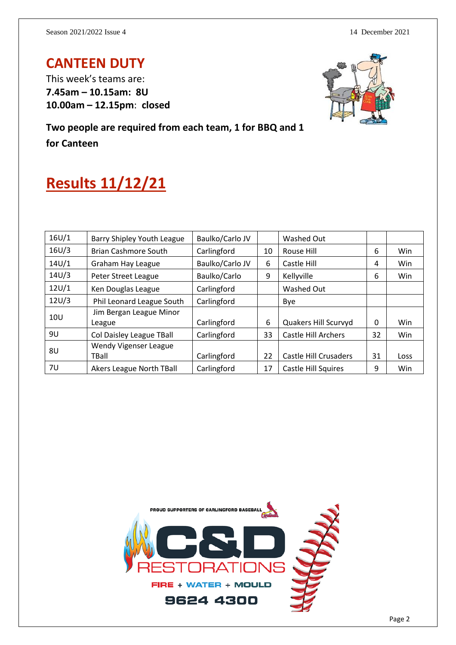## **CANTEEN DUTY**

This week's teams are: **7.45am – 10.15am: 8U 10.00am – 12.15pm**: **closed**



**Two people are required from each team, 1 for BBQ and 1 for Canteen**

## **Results 11/12/21**

| 16U/1           | Barry Shipley Youth League        | Baulko/Carlo JV |    | Washed Out                 |    |      |
|-----------------|-----------------------------------|-----------------|----|----------------------------|----|------|
| 16U/3           | <b>Brian Cashmore South</b>       | Carlingford     | 10 | Rouse Hill                 | 6  | Win  |
| 14U/1           | Graham Hay League                 | Baulko/Carlo JV | 6  | Castle Hill                | 4  | Win  |
| 14U/3           | Peter Street League               | Baulko/Carlo    | 9  | Kellyville                 | 6  | Win  |
| 12U/1           | Ken Douglas League                | Carlingford     |    | Washed Out                 |    |      |
| 12U/3           | Phil Leonard League South         | Carlingford     |    | Bye                        |    |      |
| 10 <sub>U</sub> | Jim Bergan League Minor<br>League | Carlingford     | 6  | Quakers Hill Scurvyd       | 0  | Win  |
| 9U              | Col Daisley League TBall          | Carlingford     | 33 | <b>Castle Hill Archers</b> | 32 | Win  |
| 8U              | Wendy Vigenser League<br>TBall    | Carlingford     | 22 | Castle Hill Crusaders      | 31 | Loss |
| 7U              | <b>Akers League North TBall</b>   | Carlingford     | 17 | <b>Castle Hill Squires</b> | 9  | Win  |

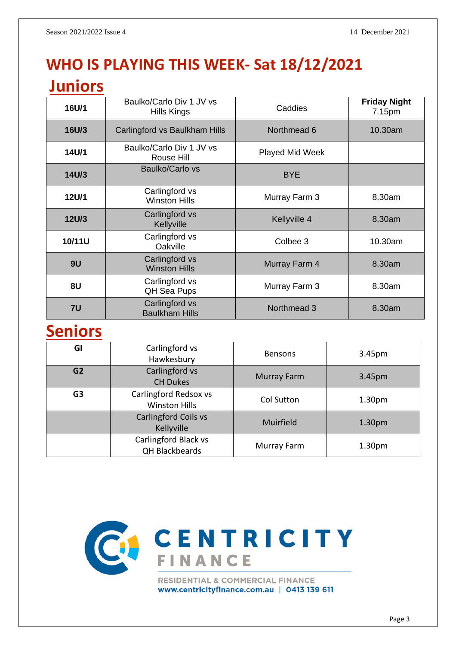## **WHO IS PLAYING THIS WEEK- Sat 18/12/2021**

## **Juniors**

| 16U/1        | Baulko/Carlo Div 1 JV vs<br>Hills Kings | Caddies                | <b>Friday Night</b><br>7.15pm |  |
|--------------|-----------------------------------------|------------------------|-------------------------------|--|
| <b>16U/3</b> | Carlingford vs Baulkham Hills           | Northmead 6            | 10.30am                       |  |
| 14U/1        | Baulko/Carlo Div 1 JV vs<br>Rouse Hill  | <b>Played Mid Week</b> |                               |  |
| 14U/3        | Baulko/Carlo vs                         | <b>BYE</b>             |                               |  |
| 12U/1        | Carlingford vs<br><b>Winston Hills</b>  | Murray Farm 3          | 8.30am                        |  |
| <b>12U/3</b> | Carlingford vs<br>Kellyville            | Kellyville 4           | 8.30am                        |  |
| 10/11U       | Carlingford vs<br>Oakville              | Colbee 3               | 10.30am                       |  |
| 9U           | Carlingford vs<br><b>Winston Hills</b>  | Murray Farm 4          | 8.30am                        |  |
| 8U           | Carlingford vs<br>QH Sea Pups           | Murray Farm 3          | 8.30am                        |  |
| <b>7U</b>    | Carlingford vs<br><b>Baulkham Hills</b> | Northmead 3            | 8.30am                        |  |

## **Seniors**

| GI             | Carlingford vs<br>Hawkesbury                  | <b>Bensons</b>     | 3.45pm             |
|----------------|-----------------------------------------------|--------------------|--------------------|
| G <sub>2</sub> | Carlingford vs<br><b>CH Dukes</b>             | <b>Murray Farm</b> | 3.45pm             |
| G <sub>3</sub> | Carlingford Redsox vs<br><b>Winston Hills</b> | Col Sutton         | 1.30 <sub>pm</sub> |
|                | Carlingford Coils vs<br>Kellyville            | Muirfield          | 1.30 <sub>pm</sub> |
|                | Carlingford Black vs<br><b>QH Blackbeards</b> | Murray Farm        | 1.30 <sub>pm</sub> |



www.centricityfinance.com.au | 0413 139 611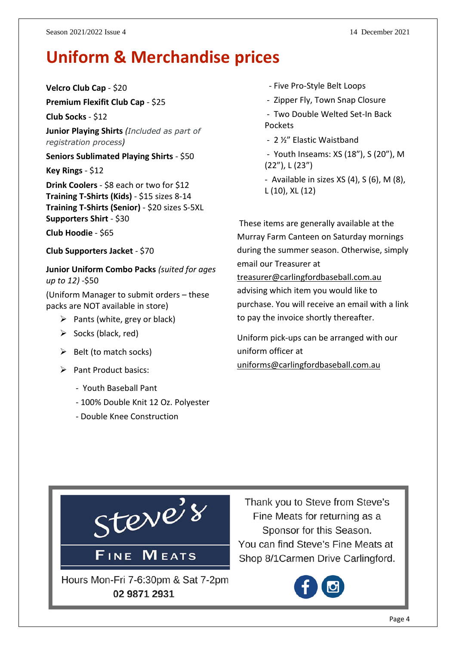## **Uniform & Merchandise prices**

**Velcro Club Cap** - \$20

**Premium Flexifit Club Cap** - \$25 **Club Socks** - \$12

**Junior Playing Shirts** *(Included as part of registration process)*

**Seniors Sublimated Playing Shirts** - \$50

**Key Rings** - \$12

**Drink Coolers** - \$8 each or two for \$12 **Training T-Shirts (Kids)** - \$15 sizes 8-14 **Training T-Shirts (Senior)** - \$20 sizes S-5XL **Supporters Shirt** - \$30

**Club Hoodie** - \$65

**Club Supporters Jacket** - \$70

**Junior Uniform Combo Packs** *(suited for ages up to 12)* -\$50

(Uniform Manager to submit orders – these packs are NOT available in store)

- $\triangleright$  Pants (white, grey or black)
- $\triangleright$  Socks (black, red)
- $\triangleright$  Belt (to match socks)
- ➢ Pant Product basics:
	- Youth Baseball Pant
	- 100% Double Knit 12 Oz. Polyester
	- Double Knee Construction
- Five Pro-Style Belt Loops
- Zipper Fly, Town Snap Closure
- Two Double Welted Set-In Back Pockets
- 2 ½" Elastic Waistband
- Youth Inseams: XS (18"), S (20"), M (22"), L (23")
- Available in sizes XS (4), S (6), M (8), L (10), XL (12)

These items are generally available at the Murray Farm Canteen on Saturday mornings during the summer season. Otherwise, simply email our Treasurer at

[treasurer@carlingfordbaseball.com.au](mailto:treasurer@carlingfordbaseball.com.au) advising which item you would like to purchase. You will receive an email with a link to pay the invoice shortly thereafter.

Uniform pick-ups can be arranged with our uniform officer at [uniforms@carlingfordbaseball.com.au](mailto:uniforms@carlingfordbaseball.com.au)



Thank you to Steve from Steve's Fine Meats for returning as a Sponsor for this Season. You can find Steve's Fine Meats at Shop 8/1 Carmen Drive Carlingford.

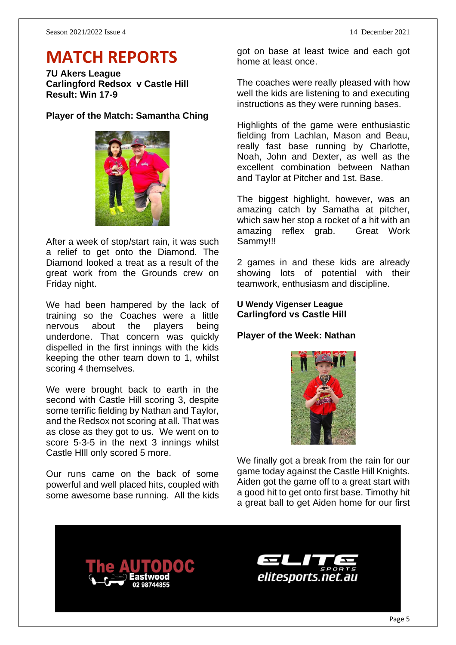## **MATCH REPORTS**

**7U Akers League Carlingford Redsox v Castle Hill Result: Win 17-9**

#### **Player of the Match: Samantha Ching**



After a week of stop/start rain, it was such a relief to get onto the Diamond. The Diamond looked a treat as a result of the great work from the Grounds crew on Friday night.

We had been hampered by the lack of training so the Coaches were a little nervous about the players being underdone. That concern was quickly dispelled in the first innings with the kids keeping the other team down to 1, whilst scoring 4 themselves.

We were brought back to earth in the second with Castle Hill scoring 3, despite some terrific fielding by Nathan and Taylor, and the Redsox not scoring at all. That was as close as they got to us. We went on to score 5-3-5 in the next 3 innings whilst Castle HIll only scored 5 more.

Our runs came on the back of some powerful and well placed hits, coupled with some awesome base running. All the kids

got on base at least twice and each got home at least once.

The coaches were really pleased with how well the kids are listening to and executing instructions as they were running bases.

Highlights of the game were enthusiastic fielding from Lachlan, Mason and Beau, really fast base running by Charlotte, Noah, John and Dexter, as well as the excellent combination between Nathan and Taylor at Pitcher and 1st. Base.

The biggest highlight, however, was an amazing catch by Samatha at pitcher, which saw her stop a rocket of a hit with an amazing reflex grab. Great Work Sammy!!!

2 games in and these kids are already showing lots of potential with their teamwork, enthusiasm and discipline.

#### **U Wendy Vigenser League Carlingford vs Castle Hill**

#### **Player of the Week: Nathan**



We finally got a break from the rain for our game today against the Castle Hill Knights. Aiden got the game off to a great start with a good hit to get onto first base. Timothy hit a great ball to get Aiden home for our first



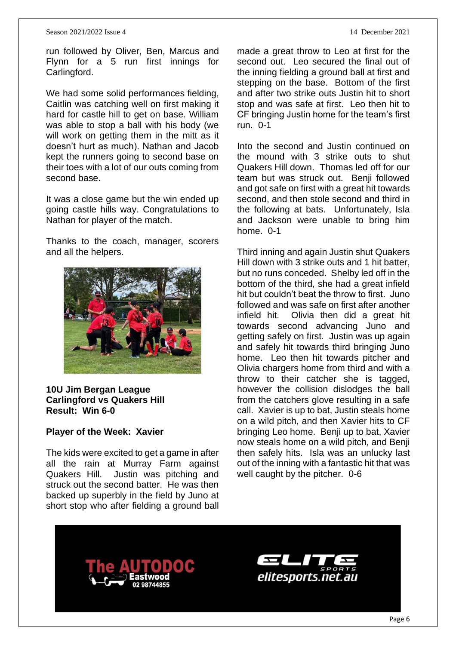#### Season 2021/2022 Issue 4 14 December 2021

run followed by Oliver, Ben, Marcus and Flynn for a 5 run first innings for Carlingford.

We had some solid performances fielding, Caitlin was catching well on first making it hard for castle hill to get on base. William was able to stop a ball with his body (we will work on getting them in the mitt as it doesn't hurt as much). Nathan and Jacob kept the runners going to second base on their toes with a lot of our outs coming from second base.

It was a close game but the win ended up going castle hills way. Congratulations to Nathan for player of the match.

Thanks to the coach, manager, scorers and all the helpers.



#### **10U Jim Bergan League Carlingford vs Quakers Hill Result: Win 6-0**

#### **Player of the Week: Xavier**

The kids were excited to get a game in after all the rain at Murray Farm against Quakers Hill. Justin was pitching and struck out the second batter. He was then backed up superbly in the field by Juno at short stop who after fielding a ground ball

made a great throw to Leo at first for the second out. Leo secured the final out of the inning fielding a ground ball at first and stepping on the base. Bottom of the first and after two strike outs Justin hit to short stop and was safe at first. Leo then hit to CF bringing Justin home for the team's first run. 0-1

Into the second and Justin continued on the mound with 3 strike outs to shut Quakers Hill down. Thomas led off for our team but was struck out. Benji followed and got safe on first with a great hit towards second, and then stole second and third in the following at bats. Unfortunately, Isla and Jackson were unable to bring him home. 0-1

Third inning and again Justin shut Quakers Hill down with 3 strike outs and 1 hit batter, but no runs conceded. Shelby led off in the bottom of the third, she had a great infield hit but couldn't beat the throw to first. Juno followed and was safe on first after another infield hit. Olivia then did a great hit towards second advancing Juno and getting safely on first. Justin was up again and safely hit towards third bringing Juno home. Leo then hit towards pitcher and Olivia chargers home from third and with a throw to their catcher she is tagged, however the collision dislodges the ball from the catchers glove resulting in a safe call. Xavier is up to bat, Justin steals home on a wild pitch, and then Xavier hits to CF bringing Leo home. Benji up to bat, Xavier now steals home on a wild pitch, and Benji then safely hits. Isla was an unlucky last out of the inning with a fantastic hit that was well caught by the pitcher. 0-6





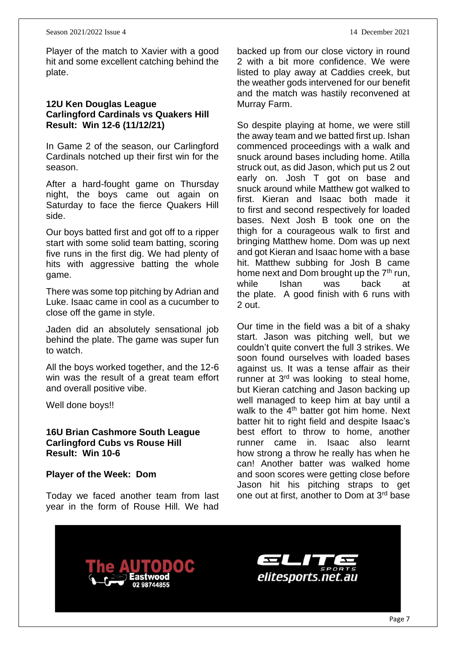Player of the match to Xavier with a good hit and some excellent catching behind the plate.

#### **12U Ken Douglas League Carlingford Cardinals vs Quakers Hill Result: Win 12-6 (11/12/21)**

In Game 2 of the season, our Carlingford Cardinals notched up their first win for the season.

After a hard-fought game on Thursday night, the boys came out again on Saturday to face the fierce Quakers Hill side.

Our boys batted first and got off to a ripper start with some solid team batting, scoring five runs in the first dig. We had plenty of hits with aggressive batting the whole game.

There was some top pitching by Adrian and Luke. Isaac came in cool as a cucumber to close off the game in style.

Jaden did an absolutely sensational job behind the plate. The game was super fun to watch.

All the boys worked together, and the 12-6 win was the result of a great team effort and overall positive vibe.

Well done boys!!

#### **16U Brian Cashmore South League Carlingford Cubs vs Rouse Hill Result: Win 10-6**

**Player of the Week: Dom**

Today we faced another team from last year in the form of Rouse Hill. We had

backed up from our close victory in round 2 with a bit more confidence. We were listed to play away at Caddies creek, but the weather gods intervened for our benefit and the match was hastily reconvened at Murray Farm.

So despite playing at home, we were still the away team and we batted first up. Ishan commenced proceedings with a walk and snuck around bases including home. Atilla struck out, as did Jason, which put us 2 out early on. Josh T got on base and snuck around while Matthew got walked to first. Kieran and Isaac both made it to first and second respectively for loaded bases. Next Josh B took one on the thigh for a courageous walk to first and bringing Matthew home. Dom was up next and got Kieran and Isaac home with a base hit. Matthew subbing for Josh B came home next and Dom brought up the  $7<sup>th</sup>$  run, while Ishan was back at the plate. A good finish with 6 runs with 2 out.

Our time in the field was a bit of a shaky start. Jason was pitching well, but we couldn't quite convert the full 3 strikes. We soon found ourselves with loaded bases against us. It was a tense affair as their runner at  $3<sup>rd</sup>$  was looking to steal home, but Kieran catching and Jason backing up well managed to keep him at bay until a walk to the  $4<sup>th</sup>$  batter got him home. Next batter hit to right field and despite Isaac's best effort to throw to home, another runner came in. Isaac also learnt how strong a throw he really has when he can! Another batter was walked home and soon scores were getting close before Jason hit his pitching straps to get one out at first, another to Dom at 3rd base